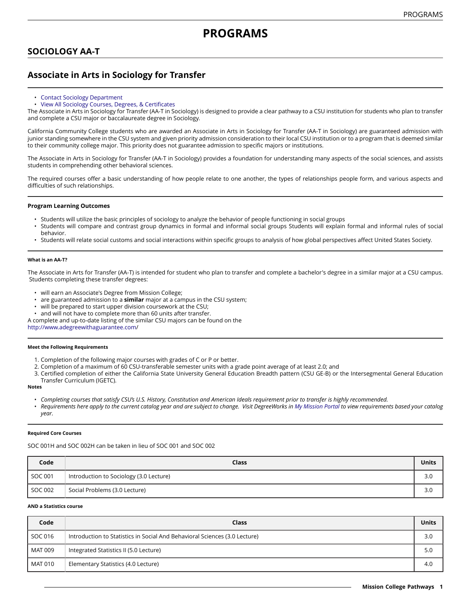# **PROGRAMS**

## **SOCIOLOGY AA-T**

## **Associate in Arts in Sociology for Transfer**

- [Contact Sociology Department](http://majors.missioncollege.edu/current/courses/soc.html)
- View All Sociology Courses, Degrees, & [Certificates](http://majors.missioncollege.edu/current/courses/soc.html)

The Associate in Arts in Sociology for Transfer (AA-T in Sociology) is designed to provide a clear pathway to a CSU institution for students who plan to transfer and complete a CSU major or baccalaureate degree in Sociology.

California Community College students who are awarded an Associate in Arts in Sociology for Transfer (AA-T in Sociology) are guaranteed admission with junior standing somewhere in the CSU system and given priority admission consideration to their local CSU institution or to a program that is deemed similar to their community college major. This priority does not guarantee admission to specific majors or institutions.

The Associate in Arts in Sociology for Transfer (AA-T in Sociology) provides a foundation for understanding many aspects of the social sciences, and assists students in comprehending other behavioral sciences.

The required courses offer a basic understanding of how people relate to one another, the types of relationships people form, and various aspects and difficulties of such relationships.

#### **Program Learning Outcomes**

- Students will utilize the basic principles of sociology to analyze the behavior of people functioning in social groups
- Students will compare and contrast group dynamics in formal and informal social groups Students will explain formal and informal rules of social behavior.
- Students will relate social customs and social interactions within specific groups to analysis of how global perspectives affect United States Society.

#### **What is an AA-T?**

The Associate in Arts for Transfer (AA-T) is intended for student who plan to transfer and complete a bachelor's degree in a similar major at a CSU campus. Students completing these transfer degrees:

- will earn an Associate's Degree from Mission College;
- are guaranteed admission to a **similar** major at a campus in the CSU system;
- will be prepared to start upper division coursework at the CSU;
- and will not have to complete more than 60 units after transfer.

A complete and up-to-date listing of the similar CSU majors can be found on the

<http://www.adegreewithaguarantee.com>/

#### **Meet the Following Requirements**

- 1. Completion of the following major courses with grades of C or P or better.
- 2. Completion of a maximum of 60 CSU-transferable semester units with a grade point average of at least 2.0; and
- 3. Certified completion of either the California State University General Education Breadth pattern (CSU GE-B) or the Intersegmental General Education Transfer Curriculum (IGETC).

#### **Notes**

- Completing courses that satisfy CSU's U.S. History, Constitution and American Ideals requirement prior to transfer is highly recommended.
- Requirements here apply to the current catalog year and are subject to change. Visit DegreeWorks in [My Mission Portal](https://wvmccd.sharepoint.com/sites/MCPortal) to view requirements based your catalog *year.*

#### **Required Core Courses**

SOC 001H and SOC 002H can be taken in lieu of SOC 001 and SOC 002

| Code    | Class                                   | Units |
|---------|-----------------------------------------|-------|
| SOC 001 | Introduction to Sociology (3.0 Lecture) | 3.0   |
| SOC 002 | Social Problems (3.0 Lecture)           | 3.0   |

#### **AND a Statistics course**

| Code    | <b>Class</b>                                                               | <b>Units</b> |
|---------|----------------------------------------------------------------------------|--------------|
| SOC 016 | Introduction to Statistics in Social And Behavioral Sciences (3.0 Lecture) | 3.0          |
| MAT 009 | Integrated Statistics II (5.0 Lecture)                                     | 5.0          |
| MAT 010 | Elementary Statistics (4.0 Lecture)                                        | 4.0          |